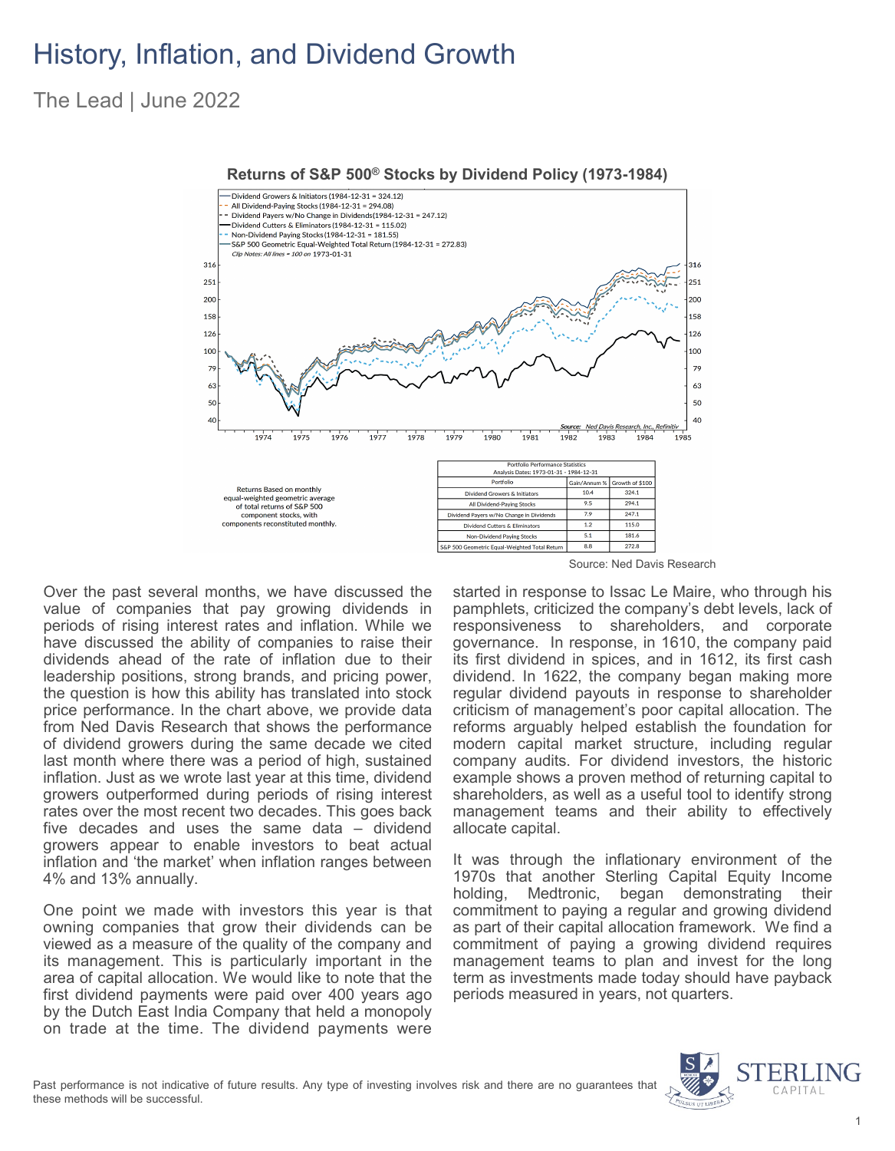## History, Inflation, and Dividend Growth

### The Lead | June 2022



**Returns of S&P 500® Stocks by Dividend Policy (1973-1984)**

Source: Ned Davis Research

Over the past several months, we have discussed the value of companies that pay growing dividends in periods of rising interest rates and inflation. While we have discussed the ability of companies to raise their dividends ahead of the rate of inflation due to their leadership positions, strong brands, and pricing power, the question is how this ability has translated into stock price performance. In the chart above, we provide data from Ned Davis Research that shows the performance of dividend growers during the same decade we cited last month where there was a period of high, sustained inflation. Just as we wrote last year at this time, dividend growers outperformed during periods of rising interest rates over the most recent two decades. This goes back five decades and uses the same data – dividend growers appear to enable investors to beat actual inflation and 'the market' when inflation ranges between 4% and 13% annually.

One point we made with investors this year is that owning companies that grow their dividends can be viewed as a measure of the quality of the company and its management. This is particularly important in the area of capital allocation. We would like to note that the first dividend payments were paid over 400 years ago by the Dutch East India Company that held a monopoly on trade at the time. The dividend payments were

started in response to Issac Le Maire, who through his pamphlets, criticized the company's debt levels, lack of responsiveness to shareholders, and corporate governance. In response, in 1610, the company paid its first dividend in spices, and in 1612, its first cash dividend. In 1622, the company began making more regular dividend payouts in response to shareholder criticism of management's poor capital allocation. The reforms arguably helped establish the foundation for modern capital market structure, including regular company audits. For dividend investors, the historic example shows a proven method of returning capital to shareholders, as well as a useful tool to identify strong management teams and their ability to effectively allocate capital.

It was through the inflationary environment of the 1970s that another Sterling Capital Equity Income holding, Medtronic, began demonstrating their commitment to paying a regular and growing dividend as part of their capital allocation framework. We find a commitment of paying a growing dividend requires management teams to plan and invest for the long term as investments made today should have payback periods measured in years, not quarters.

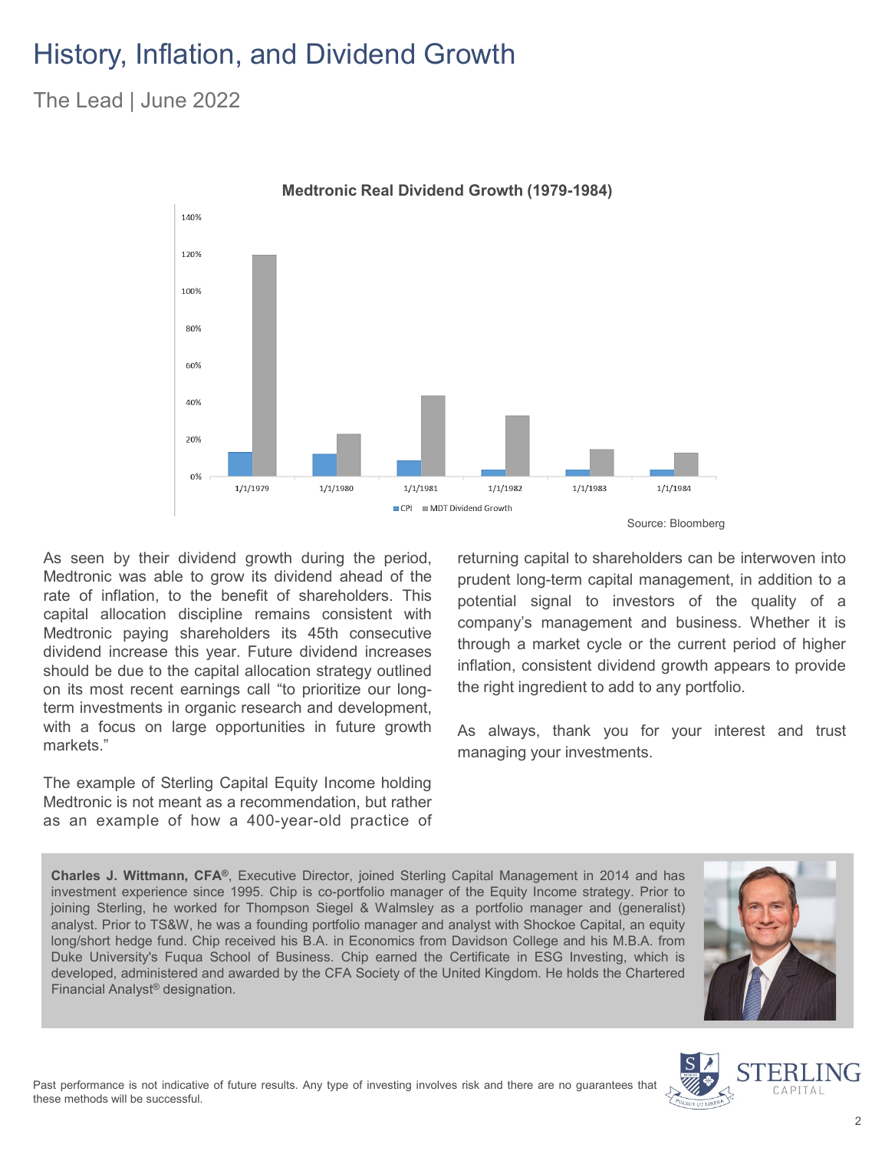# History, Inflation, and Dividend Growth

The Lead | June 2022



As seen by their dividend growth during the period, Medtronic was able to grow its dividend ahead of the rate of inflation, to the benefit of shareholders. This capital allocation discipline remains consistent with Medtronic paying shareholders its 45th consecutive dividend increase this year. Future dividend increases should be due to the capital allocation strategy outlined on its most recent earnings call "to prioritize our longterm investments in organic research and development, with a focus on large opportunities in future growth markets."

The example of Sterling Capital Equity Income holding Medtronic is not meant as a recommendation, but rather as an example of how a 400-year-old practice of returning capital to shareholders can be interwoven into prudent long-term capital management, in addition to a potential signal to investors of the quality of a company's management and business. Whether it is through a market cycle or the current period of higher inflation, consistent dividend growth appears to provide the right ingredient to add to any portfolio.

As always, thank you for your interest and trust managing your investments.

**Charles J. Wittmann, CFA®**, Executive Director, joined Sterling Capital Management in 2014 and has investment experience since 1995. Chip is co-portfolio manager of the Equity Income strategy. Prior to joining Sterling, he worked for Thompson Siegel & Walmsley as a portfolio manager and (generalist) analyst. Prior to TS&W, he was a founding portfolio manager and analyst with Shockoe Capital, an equity long/short hedge fund. Chip received his B.A. in Economics from Davidson College and his M.B.A. from Duke University's Fuqua School of Business. Chip earned the Certificate in ESG Investing, which is developed, administered and awarded by the CFA Society of the United Kingdom. He holds the Chartered Financial Analyst® designation.